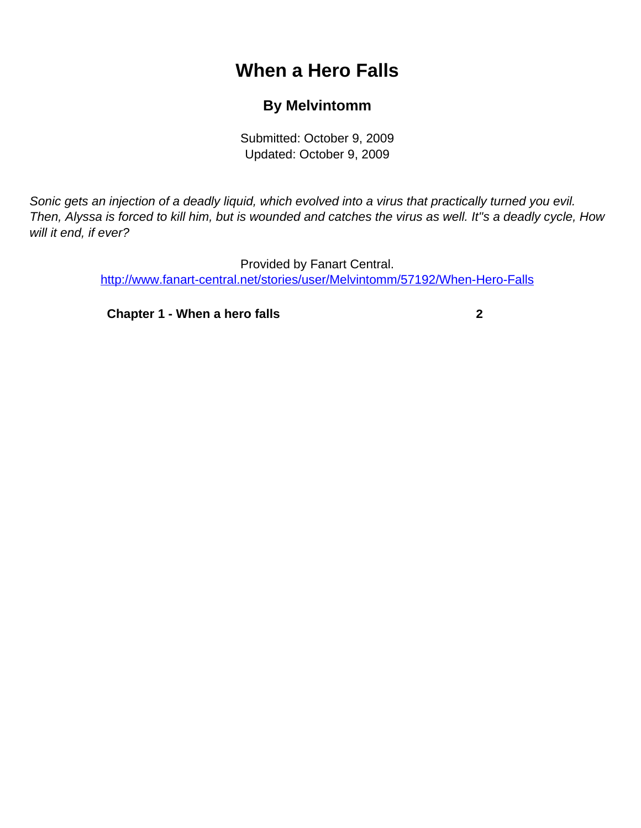# **When a Hero Falls**

## **By Melvintomm**

Submitted: October 9, 2009 Updated: October 9, 2009

<span id="page-0-0"></span>Sonic gets an injection of a deadly liquid, which evolved into a virus that practically turned you evil. Then, Alyssa is forced to kill him, but is wounded and catches the virus as well. It''s a deadly cycle, How will it end, if ever?

> Provided by Fanart Central. [http://www.fanart-central.net/stories/user/Melvintomm/57192/When-Hero-Falls](#page-0-0)

**[Chapter 1 - When a hero falls](#page-1-0) [2](#page-1-0)**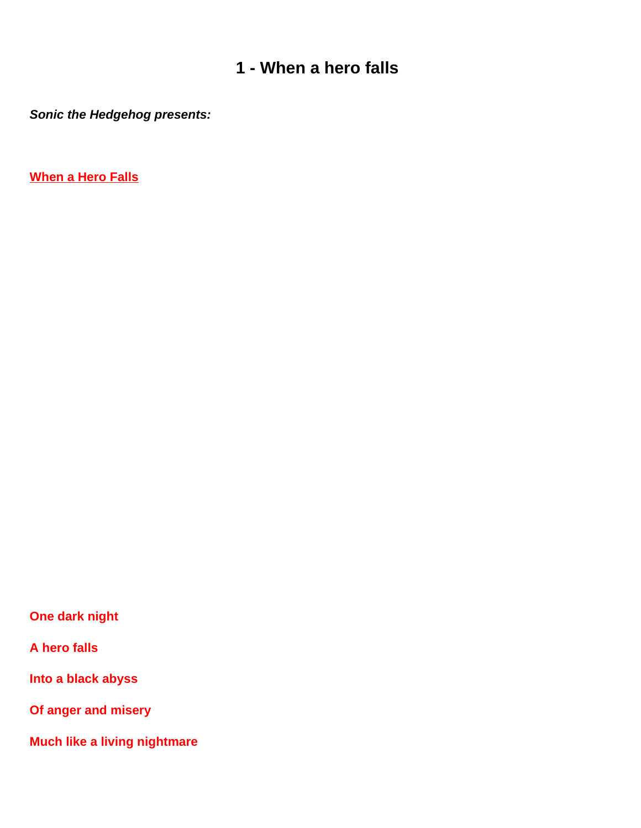## **1 - When a hero falls**

<span id="page-1-0"></span>**Sonic the Hedgehog presents:**

**When a Hero Falls**

**One dark night**

**A hero falls**

**Into a black abyss**

**Of anger and misery**

**Much like a living nightmare**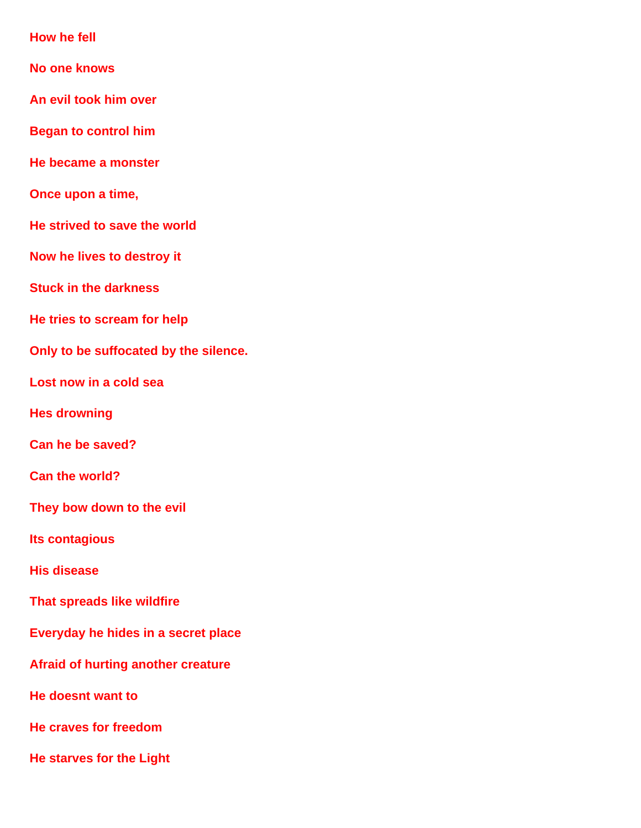**How he fell**

- **No one knows**
- **An evil took him over**
- **Began to control him**
- **He became a monster**
- **Once upon a time,**
- **He strived to save the world**
- **Now he lives to destroy it**
- **Stuck in the darkness**
- **He tries to scream for help**
- **Only to be suffocated by the silence.**
- **Lost now in a cold sea**
- **He s drowning**
- **Can he be saved?**
- **Can the world?**
- **They bow down to the evil**
- **It s contagious**
- **His disease**
- **That spreads like wildfire**
- **Everyday he hides in a secret place**
- **Afraid of hurting another creature**
- **He doesn t want to**
- **He craves for freedom**
- **He starves for the Light**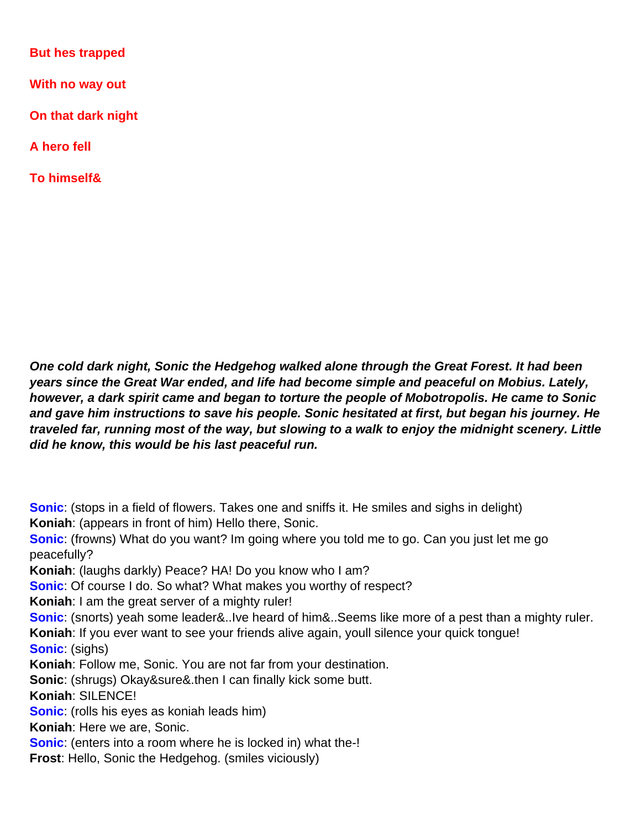**But he s trapped** 

**With no way out**

**On that dark night**

**A hero fell**

**To himself&**

**One cold dark night, Sonic the Hedgehog walked alone through the Great Forest. It had been years since the Great War ended, and life had become simple and peaceful on Mobius. Lately, however, a dark spirit came and began to torture the people of Mobotropolis. He came to Sonic and gave him instructions to save his people. Sonic hesitated at first, but began his journey. He traveled far, running most of the way, but slowing to a walk to enjoy the midnight scenery. Little did he know, this would be his last peaceful run.**

**Sonic**: (stops in a field of flowers. Takes one and sniffs it. He smiles and sighs in delight) **Koniah**: (appears in front of him) Hello there, Sonic.

**Sonic**: (frowns) What do you want? I m going where you told me to go. Can you just let me go peacefully?

**Koniah**: (laughs darkly) Peace? HA! Do you know who I am?

**Sonic**: Of course I do. So what? What makes you worthy of respect?

**Koniah**: I am the great server of a mighty ruler!

**Sonic**: (snorts) yeah some leader&..I ve heard of him&..Seems like more of a pest than a mighty ruler.

Koniah: If you ever want to see your friends alive again, you Il silence your quick tongue! **Sonic**: (sighs)

**Koniah**: Follow me, Sonic. You are not far from your destination.

**Sonic**: (shrugs) Okay&sure&.then I can finally kick some butt.

**Koniah**: SILENCE!

**Sonic**: (rolls his eyes as koniah leads him)

**Koniah**: Here we are, Sonic.

**Sonic**: (enters into a room where he is locked in) what the-!

**Frost**: Hello, Sonic the Hedgehog. (smiles viciously)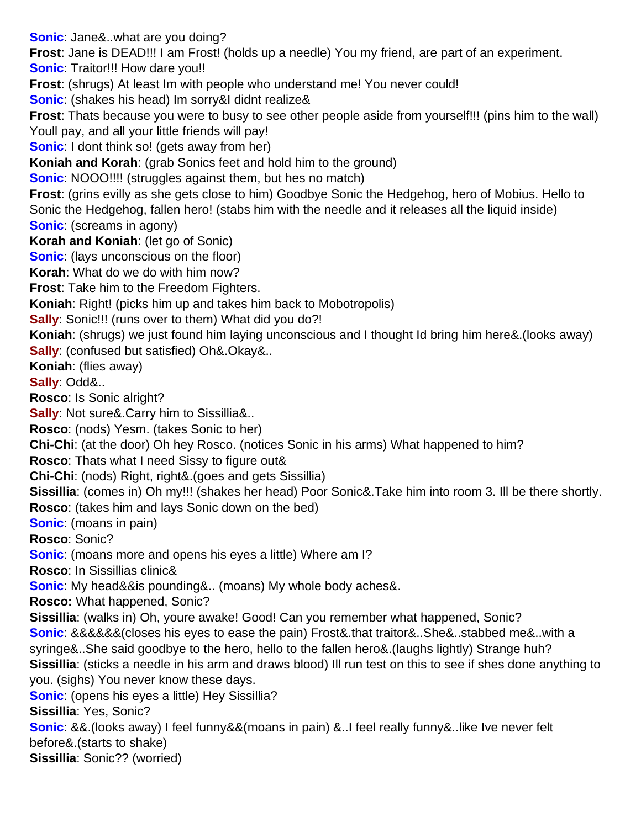**Sonic**: Jane&..what are you doing?

**Frost**: Jane is DEAD!!! I am Frost! (holds up a needle) You my friend, are part of an experiment.

**Sonic:** Traitor!!! How dare you!!

**Frost**: (shrugs) At least Im with people who understand me! You never could!

**Sonic**: (shakes his head) I m sorry&I didn t realize&

**Frost**: That s because you were to busy to see other people aside from yourself!!! (pins him to the wall) You II pay, and all your little friends will pay!

**Sonic**: I don t think so! (gets away from her)

**Koniah and Korah:** (grab Sonic s feet and hold him to the ground)

**Sonic:** NOOO!!!! (struggles against them, but he s no match)

**Frost**: (grins evilly as she gets close to him) Goodbye Sonic the Hedgehog, hero of Mobius. Hello to Sonic the Hedgehog, fallen hero! (stabs him with the needle and it releases all the liquid inside) **Sonic**: (screams in agony)

**Korah and Koniah**: (let go of Sonic)

**Sonic:** (lays unconscious on the floor)

**Korah**: What do we do with him now?

**Frost**: Take him to the Freedom Fighters.

**Koniah**: Right! (picks him up and takes him back to Mobotropolis)

**Sally:** Sonic!!! (runs over to them) What did you do?!

**Koniah:** (shrugs) we just found him laying unconscious and I thought I d bring him here &. (looks away) **Sally**: (confused but satisfied) Oh&.Okay&..

**Koniah**: (flies away)

**Sally**: Odd&..

**Rosco**: Is Sonic alright?

**Sally**: Not sure&.Carry him to Sissillia&..

**Rosco**: (nods) Yesm. (takes Sonic to her)

**Chi-Chi**: (at the door) Oh hey Rosco. (notices Sonic in his arms) What happened to him?

**Rosco:** That s what I need Sissy to figure out&

**Chi-Chi**: (nods) Right, right&.(goes and gets Sissillia)

**Sissillia**: (comes in) Oh my!!! (shakes her head) Poor Sonic&.Take him into room 3. Ill be there shortly.

**Rosco**: (takes him and lays Sonic down on the bed)

**Sonic**: (moans in pain)

**Rosco**: Sonic?

**Sonic**: (moans more and opens his eyes a little) Where am I?

**Rosco: In Sissillia s clinic&** 

**Sonic**: My head&&is pounding&.. (moans) My whole body aches&.

**Rosco:** What happened, Sonic?

**Sissillia**: (walks in) Oh, youre awake! Good! Can you remember what happened, Sonic? **Sonic**: &&&&&&(closes his eyes to ease the pain) Frost&.that traitor&..She&..stabbed me&..with a syringe&..She said goodbye to the hero, hello to the fallen hero&.(laughs lightly) Strange huh? **Sissillia**: (sticks a needle in his arm and draws blood) I II run test on this to see if she s done anything to you. (sighs) You never know these days.

**Sonic**: (opens his eyes a little) Hey Sissillia?

**Sissillia**: Yes, Sonic?

**Sonic**: &&.(looks away) I feel funny&&(moans in pain) &..I feel really funny&..like Ive never felt before&.(starts to shake)

**Sissillia**: Sonic?? (worried)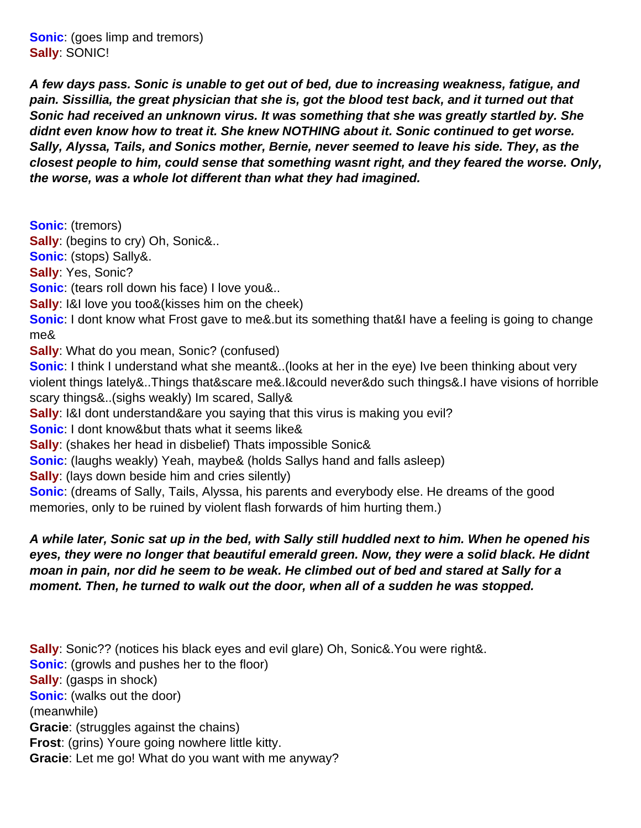**Sonic**: (goes limp and tremors) **Sally**: SONIC!

**A few days pass. Sonic is unable to get out of bed, due to increasing weakness, fatigue, and pain. Sissillia, the great physician that she is, got the blood test back, and it turned out that Sonic had received an unknown virus. It was something that she was greatly startled by. She** didn t even know how to treat it. She knew NOTHING about it. Sonic continued to get worse. Sally, Alyssa, Tails, and Sonic s mother, Bernie, never seemed to leave his side. They, as the **closest people to him, could sense that something wasnt right, and they feared the worse. Only, the worse, was a whole lot different than what they had imagined.**

**Sonic**: (tremors) **Sally**: (begins to cry) Oh, Sonic&.. **Sonic**: (stops) Sally&. **Sally**: Yes, Sonic? **Sonic**: (tears roll down his face) I love you&.. **Sally**: I&I love you too&(kisses him on the cheek) Sonic: I don t know what Frost gave to me&.but it s something that&I have a feeling is going to change me& **Sally:** What do you mean, Sonic? (confused) **Sonic**: I think I understand what she meant&..(looks at her in the eye) I ve been thinking about very violent things lately&..Things that&scare me&.I&could never&do such things&.I have visions of horrible scary things&..(sighs weakly) I m scared, Sally& **Sally:** I&I don t understand&are you saying that this virus is making you evil? **Sonic:** I don t know&but that s what it seems like& **Sally:** (shakes her head in disbelief) That s impossible Sonic& **Sonic:** (laughs weakly) Yeah, maybe& (holds Sally s hand and falls asleep) **Sally:** (lays down beside him and cries silently) **Sonic**: (dreams of Sally, Tails, Alyssa, his parents and everybody else. He dreams of the good memories, only to be ruined by violent flash forwards of him hurting them.)

### **A while later, Sonic sat up in the bed, with Sally still huddled next to him. When he opened his** eyes, they were no longer that beautiful emerald green. Now, they were a solid black. He didn t **moan in pain, nor did he seem to be weak. He climbed out of bed and stared at Sally for a moment. Then, he turned to walk out the door, when all of a sudden he was stopped.**

**Sally**: Sonic?? (notices his black eyes and evil glare) Oh, Sonic&.You were right&. **Sonic**: (growls and pushes her to the floor) **Sally**: (gasps in shock) **Sonic**: (walks out the door) (meanwhile) **Gracie**: (struggles against the chains) **Frost:** (grins) You re going nowhere little kitty. **Gracie**: Let me go! What do you want with me anyway?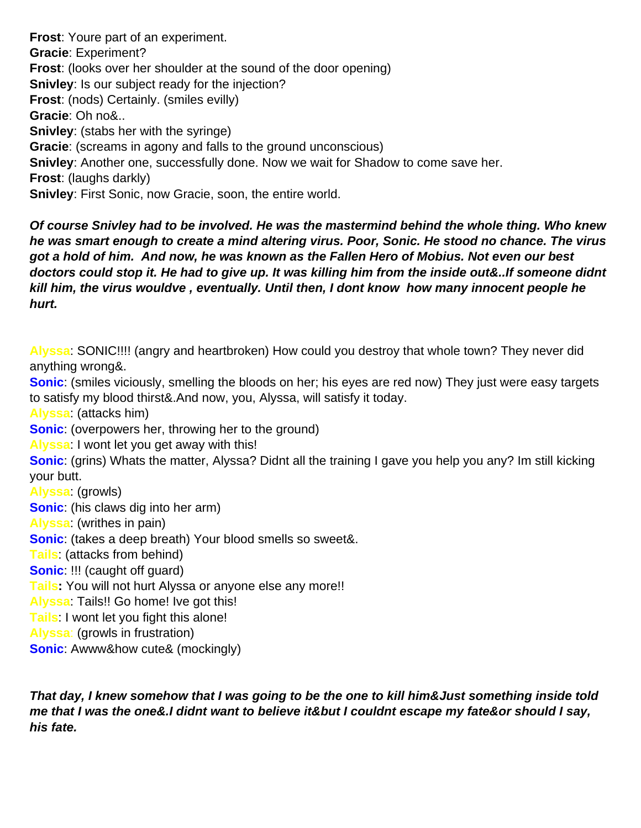**Frost:** You re part of an experiment. **Gracie**: Experiment? **Frost**: (looks over her shoulder at the sound of the door opening) **Snivley**: Is our subject ready for the injection? **Frost**: (nods) Certainly. (smiles evilly) **Gracie**: Oh no&.. **Snivley**: (stabs her with the syringe) **Gracie**: (screams in agony and falls to the ground unconscious) **Snivley**: Another one, successfully done. Now we wait for Shadow to come save her. **Frost**: (laughs darkly) **Snivley**: First Sonic, now Gracie, soon, the entire world.

**Of course Snivley had to be involved. He was the mastermind behind the whole thing. Who knew he was smart enough to create a mind altering virus. Poor, Sonic. He stood no chance. The virus got a hold of him. And now, he was known as the Fallen Hero of Mobius. Not even our best doctors could stop it. He had to give up. It was killing him from the inside out&..If someone didnt** kill him, the virus would ve, eventually. Until then, I don t know how many innocent people he **hurt.**

**Alyssa**: SONIC!!!! (angry and heartbroken) How could you destroy that whole town? They never did anything wrong&.

**Sonic**: (smiles viciously, smelling the bloods on her; his eyes are red now) They just were easy targets to satisfy my blood thirst&.And now, you, Alyssa, will satisfy it today.

**Alyssa**: (attacks him)

**Sonic:** (overpowers her, throwing her to the ground)

Alyssa: I won t let you get away with this!

**Sonic**: (grins) What s the matter, Alyssa? Didn t all the training I gave you help you any? I m still kicking your butt.

**Alyssa**: (growls) **Sonic**: (his claws dig into her arm) **Alyssa**: (writhes in pain) **Sonic**: (takes a deep breath) Your blood smells so sweet&. **Tails**: (attacks from behind) **Sonic**: !!! (caught off guard) **Tails:** You will not hurt Alyssa or anyone else any more!! Alyssa: Tails!! Go home! I ve got this! **Tails:** I won t let you fight this alone! **Alyssa**: (growls in frustration) **Sonic**: Awww&how cute& (mockingly)

**That day, I knew somehow that I was going to be the one to kill him&Just something inside told** me that I was the one&.I didn t want to believe it&but I couldn t escape my fate&or should I say, **his fate.**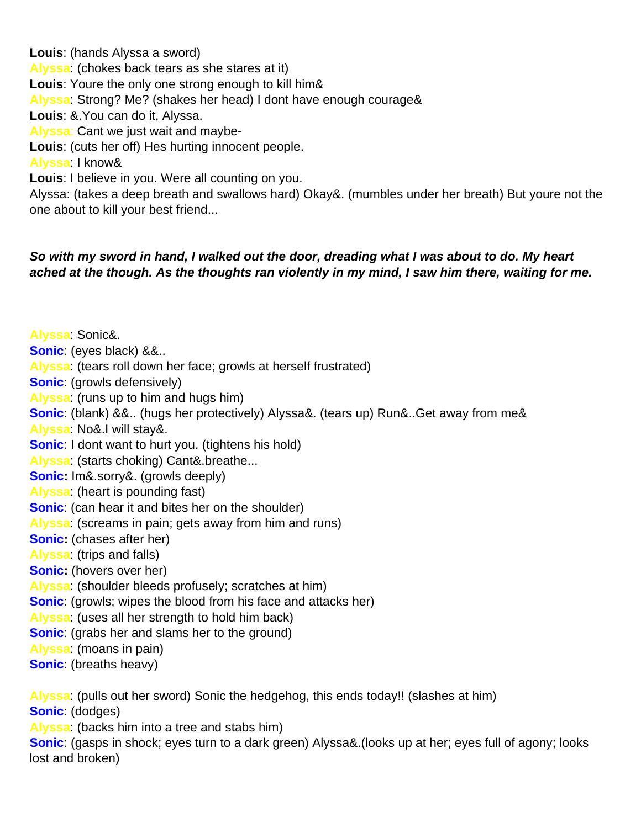**Louis**: (hands Alyssa a sword) **Alyssa**: (chokes back tears as she stares at it) Louis: You re the only one strong enough to kill him& Alyssa: Strong? Me? (shakes her head) I don t have enough courage& **Louis**: &.You can do it, Alyssa. Alyssa: Can t we just wait and maybe-Louis: (cuts her off) He s hurting innocent people. **Alyssa**: I know& Louis: I believe in you. We re all counting on you. Alyssa: (takes a deep breath and swallows hard) Okay&. (mumbles under her breath) But youre not the

one about to kill your best friend...

## **So with my sword in hand, I walked out the door, dreading what I was about to do. My heart ached at the though. As the thoughts ran violently in my mind, I saw him there, waiting for me.**

**Alyssa**: Sonic&. **Sonic**: (eyes black) &&.. **Alyssa**: (tears roll down her face; growls at herself frustrated) **Sonic**: (growls defensively) **Alyssa**: (runs up to him and hugs him) **Sonic**: (blank) &&.. (hugs her protectively) Alyssa&. (tears up) Run&..Get away from me& **Alyssa**: No&.I will stay&. **Sonic:** I don t want to hurt you. (tightens his hold) Alyssa: (starts choking) Can t& breathe... **Sonic:** I m&.sorry&. (growls deeply) **Alyssa**: (heart is pounding fast) **Sonic**: (can hear it and bites her on the shoulder) **Alyssa**: (screams in pain; gets away from him and runs) **Sonic:** (chases after her) **Alyssa**: (trips and falls) **Sonic:** (hovers over her) **Alyssa**: (shoulder bleeds profusely; scratches at him) **Sonic**: (growls; wipes the blood from his face and attacks her) **Alyssa**: (uses all her strength to hold him back) **Sonic**: (grabs her and slams her to the ground) **Alyssa**: (moans in pain) **Sonic**: (breaths heavy) **Alyssa**: (pulls out her sword) Sonic the hedgehog, this ends today!! (slashes at him) **Sonic**: (dodges) **Alyssa**: (backs him into a tree and stabs him) **Sonic**: (gasps in shock; eyes turn to a dark green) Alyssa&.(looks up at her; eyes full of agony; looks

lost and broken)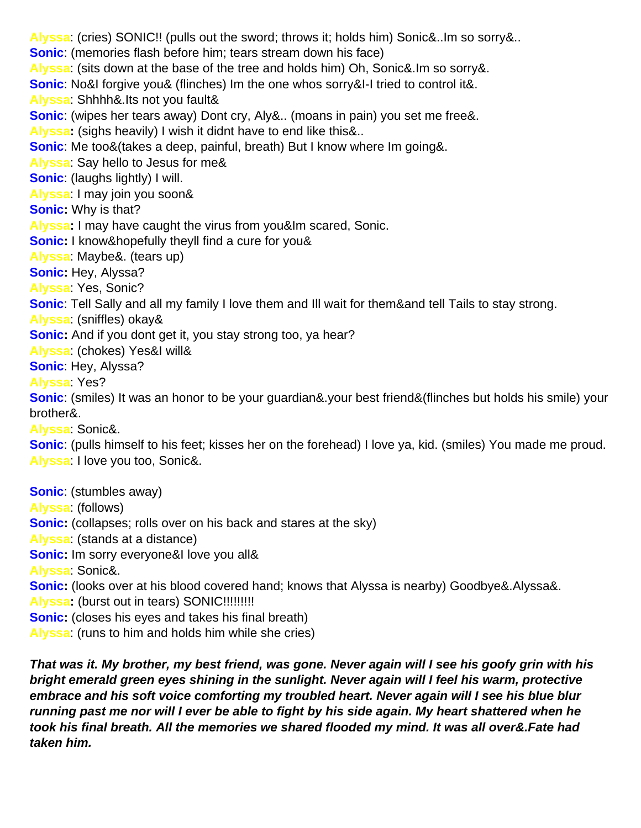**Alyssa**: (cries) SONIC!! (pulls out the sword; throws it; holds him) Sonic&..Im so sorry&.. **Sonic**: (memories flash before him; tears stream down his face) **Alyssa**: (sits down at the base of the tree and holds him) Oh, Sonic&.Im so sorry&. **Sonic:** No&I forgive you& (flinches) I m the one who s sorry&I-I tried to control it&. Alyssa: Shhhh&.It s not you fault& **Sonic**: (wipes her tears away) Don t cry, Aly&.. (moans in pain) you set me free&. **Alyssa:** (sighs heavily) I wish it didnt have to end like this&.. **Sonic**: Me too&(takes a deep, painful, breath) But I know where I m going&. **Alyssa**: Say hello to Jesus for me& **Sonic**: (laughs lightly) I will. **Alyssa**: I may join you soon& **Sonic:** Why is that? **Alyssa:** I may have caught the virus from you&I m scared, Sonic. **Sonic:** I know&hopefully they II find a cure for you& **Alyssa**: Maybe&. (tears up) **Sonic:** Hey, Alyssa? **Alyssa**: Yes, Sonic? **Sonic**: Tell Sally and all my family I love them and Ill wait for them&and tell Tails to stay strong. **Alyssa**: (sniffles) okay& **Sonic:** And if you don t get it, you stay strong too, ya hear? **Alyssa**: (chokes) Yes&I will& **Sonic**: Hey, Alyssa? **Alyssa**: Yes? **Sonic**: (smiles) It was an honor to be your guardian&.your best friend&(flinches but holds his smile) your brother&. **Alyssa**: Sonic&. **Sonic**: (pulls himself to his feet; kisses her on the forehead) I love ya, kid. (smiles) You made me proud. **Alyssa**: I love you too, Sonic&. **Sonic**: (stumbles away) **Alyssa**: (follows) **Sonic:** (collapses; rolls over on his back and stares at the sky) **Alyssa**: (stands at a distance) **Sonic:** I m sorry everyone&I love you all& **Alyssa**: Sonic&. **Sonic:** (looks over at his blood covered hand; knows that Alyssa is nearby) Goodbye&.Alyssa&. **Alyssa:** (burst out in tears) SONIC!!!!!!!!! **Sonic:** (closes his eyes and takes his final breath)

**Alyssa**: (runs to him and holds him while she cries)

**That was it. My brother, my best friend, was gone. Never again will I see his goofy grin with his bright emerald green eyes shining in the sunlight. Never again will I feel his warm, protective embrace and his soft voice comforting my troubled heart. Never again will I see his blue blur running past me nor will I ever be able to fight by his side again. My heart shattered when he took his final breath. All the memories we shared flooded my mind. It was all over&.Fate had taken him.**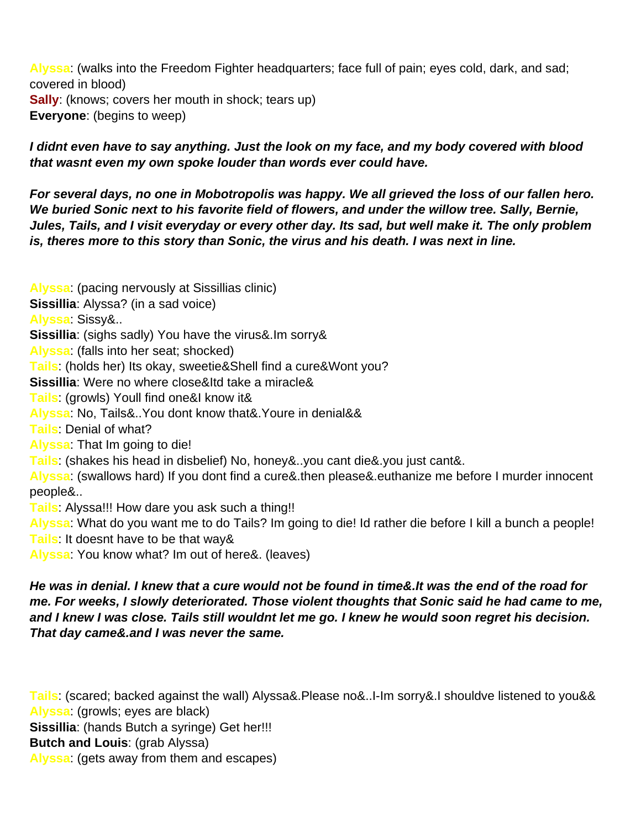**Alyssa**: (walks into the Freedom Fighter headquarters; face full of pain; eyes cold, dark, and sad; covered in blood) **Sally:** (knows; covers her mouth in shock; tears up) **Everyone**: (begins to weep)

I didn t even have to say anything. Just the look on my face, and my body covered with blood that wasn t even my own spoke louder than words ever could have.

**For several days, no one in Mobotropolis was happy. We all grieved the loss of our fallen hero. We buried Sonic next to his favorite field of flowers, and under the willow tree. Sally, Bernie,** Jules, Tails, and I visit everyday or every other day. It s sad, but we II make it. The only problem is, there s more to this story than Sonic, the virus and his death. I was next in line.

**Alyssa:** (pacing nervously at Sissillia s clinic) **Sissillia**: Alyssa? (in a sad voice) **Alyssa**: Sissy&.. **Sissillia**: (sighs sadly) You have the virus&.I m sorry& **Alyssa**: (falls into her seat; shocked) Tails: (holds her) It s okay, sweetie&She II find a cure&Won t you? **Sissillia**: We re no where close&It d take a miracle& Tails: (growls) You II find one&I know it& **Alyssa**: No, Tails&..You dont know that&.Youre in denial&& **Tails**: Denial of what? Alyssa: That I m going to die! **Tails**: (shakes his head in disbelief) No, honey&..you cant die&.you just cant&. Alyssa: (swallows hard) If you don t find a cure&.then please&.euthanize me before I murder innocent people&.. **Tails**: Alyssa!!! How dare you ask such a thing!! **Alyssa**: What do you want me to do Tails? Im going to die! Id rather die before I kill a bunch a people! Tails: It doesn t have to be that way &

**Alyssa**: You know what? Im out of here&. (leaves)

**He was in denial. I knew that a cure would not be found in time&.It was the end of the road for me. For weeks, I slowly deteriorated. Those violent thoughts that Sonic said he had came to me,** and I knew I was close. Tails still wouldn t let me go. I knew he would soon regret his decision. **That day came&.and I was never the same.**

Tails: (scared; backed against the wall) Alyssa&.Please no&..I-I m sorry&.I should ve listened to you&& **Alyssa**: (growls; eyes are black) **Sissillia**: (hands Butch a syringe) Get her!!! **Butch and Louis**: (grab Alyssa) **Alyssa**: (gets away from them and escapes)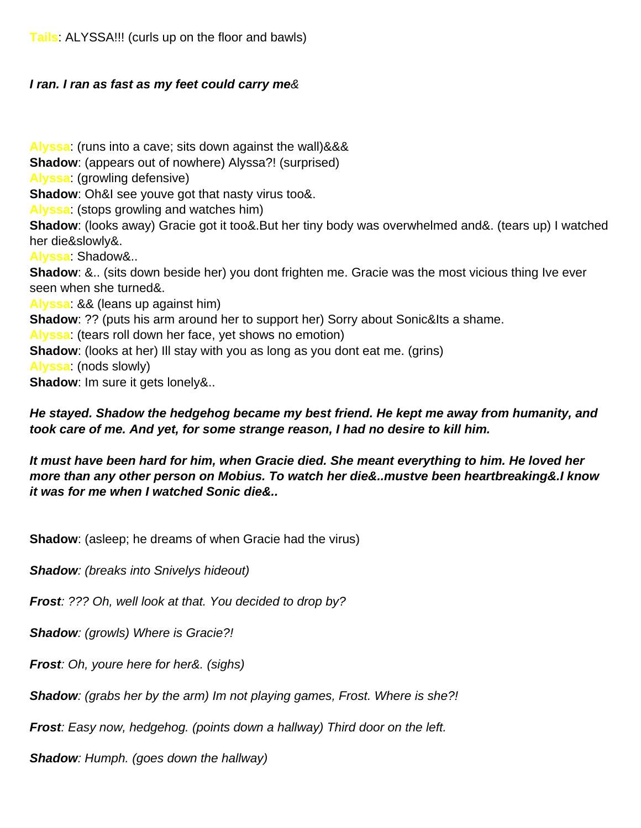**Tails**: ALYSSA!!! (curls up on the floor and bawls)

#### **I ran. I ran as fast as my feet could carry me**&

**Alyssa**: (runs into a cave; sits down against the wall)&&& **Shadow**: (appears out of nowhere) Alyssa?! (surprised) **Alyssa**: (growling defensive) **Shadow**: Oh&I see you ve got that nasty virus too&. **Alyssa**: (stops growling and watches him) **Shadow**: (looks away) Gracie got it too &. But her tiny body was overwhelmed and &. (tears up) I watched her die&slowly&. **Alyssa**: Shadow&.. **Shadow**: &.. (sits down beside her) you don t frighten me. Gracie was the most vicious thing I ve ever seen when she turned&. **Alyssa**: && (leans up against him) **Shadow**: ?? (puts his arm around her to support her) Sorry about Sonic&It s a shame. **Alyssa**: (tears roll down her face, yet shows no emotion) **Shadow**: (looks at her) I II stay with you as long as you don t eat me. (grins) **Alyssa**: (nods slowly) **Shadow**: I m sure it gets lonely&..

#### **He stayed. Shadow the hedgehog became my best friend. He kept me away from humanity, and took care of me. And yet, for some strange reason, I had no desire to kill him.**

**It must have been hard for him, when Gracie died. She meant everything to him. He loved her** more than any other person on Mobius. To watch her die&..must ve been heartbreaking&.I know **it was for me when I watched Sonic die&..**

**Shadow**: (asleep; he dreams of when Gracie had the virus)

**Shadow:** (breaks into Snively s hideout)

**Frost**: ??? Oh, well look at that. You decided to drop by?

**Shadow**: (growls) Where is Gracie?!

**Frost**: Oh, you re here for her&. (sighs)

**Shadow**: (grabs her by the arm) I m not playing games, Frost. Where is she?!

**Frost**: Easy now, hedgehog. (points down a hallway) Third door on the left.

**Shadow**: Humph. (goes down the hallway)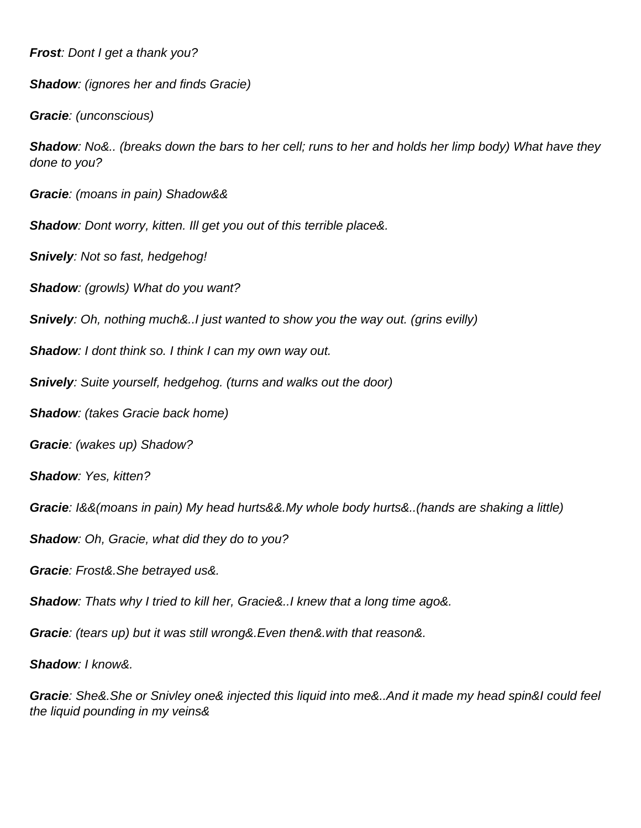**Frost:** Don t I get a thank you?

**Shadow:** (ignores her and finds Gracie)

**Gracie**: (unconscious)

**Shadow**: No&.. (breaks down the bars to her cell; runs to her and holds her limp body) What have they done to you?

**Gracie**: (moans in pain) Shadow&&

**Shadow**: Don t worry, kitten. I II get you out of this terrible place&.

**Snively**: Not so fast, hedgehog!

**Shadow**: (growls) What do you want?

**Snively**: Oh, nothing much&..I just wanted to show you the way out. (grins evilly)

**Shadow**: I don t think so. I think I can my own way out.

**Snively:** Suite yourself, hedgehog. (turns and walks out the door)

**Shadow**: (takes Gracie back home)

**Gracie**: (wakes up) Shadow?

**Shadow**: Yes, kitten?

**Gracie**: I&&(moans in pain) My head hurts&&.My whole body hurts&..(hands are shaking a little)

**Shadow**: Oh, Gracie, what did they do to you?

**Gracie**: Frost&.She betrayed us&.

**Shadow**: That s why I tried to kill her, Gracie&..I knew that a long time ago&.

**Gracie**: (tears up) but it was still wrong&.Even then&.with that reason&.

**Shadow**: I know&.

**Gracie**: She&.She or Snivley one& injected this liquid into me&..And it made my head spin&I could feel the liquid pounding in my veins&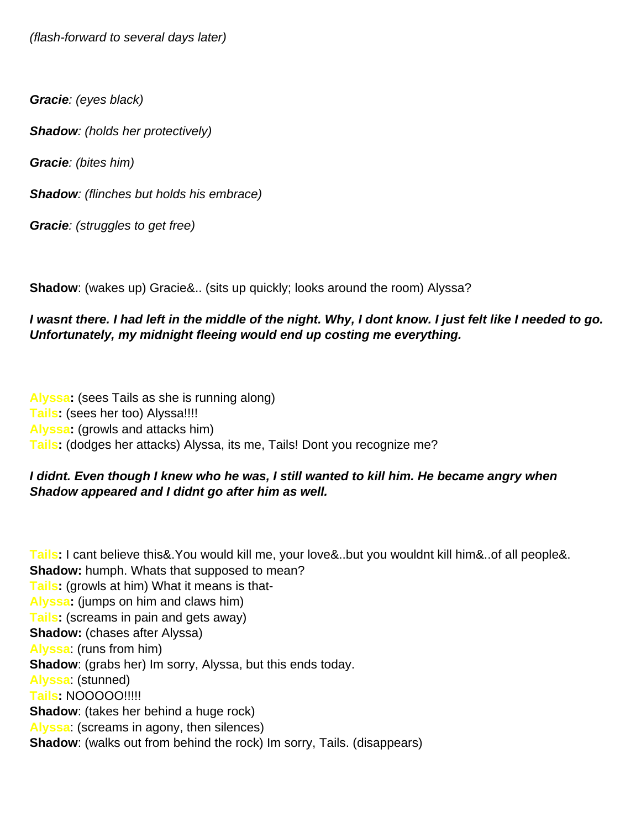(flash-forward to several days later)

**Gracie**: (eyes black)

**Shadow:** (holds her protectively)

**Gracie**: (bites him)

**Shadow**: (flinches but holds his embrace)

**Gracie**: (struggles to get free)

**Shadow**: (wakes up) Gracie&.. (sits up quickly; looks around the room) Alyssa?

### I wasn t there. I had left in the middle of the night. Why, I don t know. I just felt like I needed to go. **Unfortunately, my midnight fleeing would end up costing me everything.**

**Alyssa:** (sees Tails as she is running along) **Tails:** (sees her too) Alyssa!!!! **Alyssa:** (growls and attacks him) Tails: (dodges her attacks) Alyssa, it s me, Tails! Don t you recognize me?

#### I didn t. Even though I knew who he was, I still wanted to kill him. He became angry when Shadow appeared and I didn t go after him as well.

**Tails:** I can t believe this &. You would kill me, your love &.. but you wouldn t kill him &.. of all people &. **Shadow:** humph. What s that supposed to mean? **Tails:** (growls at him) What it means is that-**Alyssa:** (jumps on him and claws him) **Tails:** (screams in pain and gets away) **Shadow:** (chases after Alyssa) **Alyssa**: (runs from him) **Shadow**: (grabs her) I m sorry, Alyssa, but this ends today. **Alyssa**: (stunned) **Tails:** NOOOOO!!!!! **Shadow**: (takes her behind a huge rock) **Alyssa**: (screams in agony, then silences) **Shadow**: (walks out from behind the rock) I m sorry, Tails. (disappears)